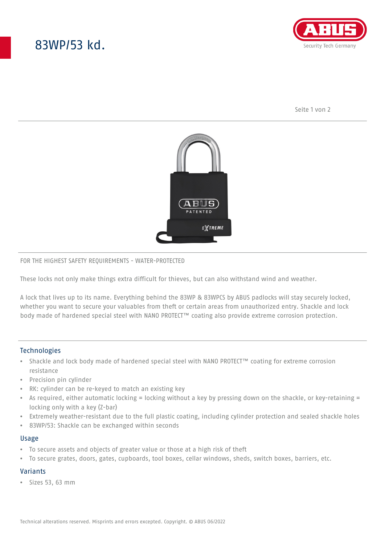# 83WP/53 kd.



Seite 1 von 2



#### FOR THE HIGHEST SAFETY REQUIREMENTS - WATER-PROTECTED

These locks not only make things extra difficult for thieves, but can also withstand wind and weather.

A lock that lives up to its name. Everything behind the 83WP & 83WPCS by ABUS padlocks will stay securely locked, whether you want to secure your valuables from theft or certain areas from unauthorized entry. Shackle and lock body made of hardened special steel with NANO PROTECT™ coating also provide extreme corrosion protection.

## **Technologies**

- Shackle and lock body made of hardened special steel with NANO PROTECT™ coating for extreme corrosion resistance
- Precision pin cylinder
- RK: cylinder can be re-keyed to match an existing key
- As required, either automatic locking = locking without a key by pressing down on the shackle, or key-retaining = locking only with a key (Z-bar)
- Extremely weather-resistant due to the full plastic coating, including cylinder protection and sealed shackle holes
- 83WP/53: Shackle can be exchanged within seconds

#### Usage

- To secure assets and objects of greater value or those at a high risk of theft
- To secure grates, doors, gates, cupboards, tool boxes, cellar windows, sheds, switch boxes, barriers, etc.

## Variants

• Sizes 53, 63 mm